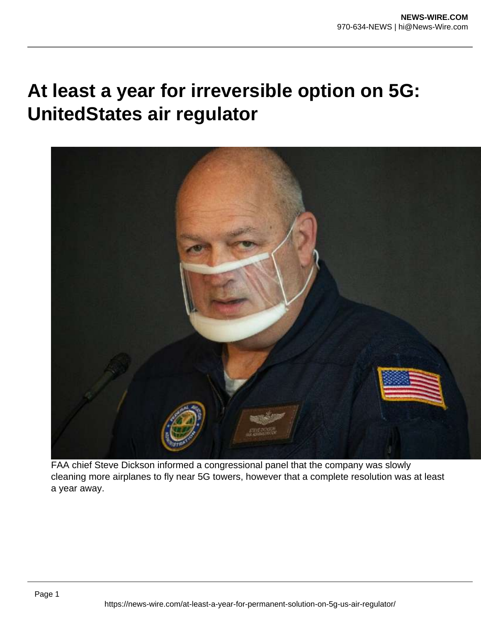## **At least a year for irreversible option on 5G: UnitedStates air regulator**



FAA chief Steve Dickson informed a congressional panel that the company was slowly cleaning more airplanes to fly near 5G towers, however that a complete resolution was at least a year away.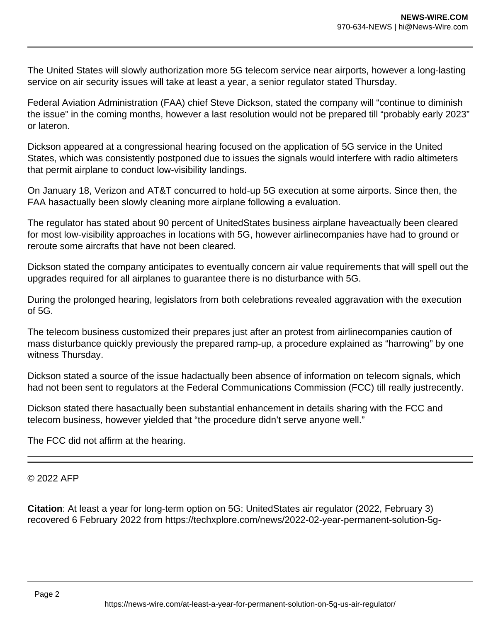The United States will slowly authorization more 5G telecom service near airports, however a long-lasting service on air security issues will take at least a year, a senior regulator stated Thursday.

Federal Aviation Administration (FAA) chief Steve Dickson, stated the company will "continue to diminish the issue" in the coming months, however a last resolution would not be prepared till "probably early 2023" or lateron.

Dickson appeared at a congressional hearing focused on the application of 5G service in the United States, which was consistently postponed due to issues the signals would interfere with radio altimeters that permit airplane to conduct low-visibility landings.

On January 18, Verizon and AT&T concurred to hold-up 5G execution at some airports. Since then, the FAA hasactually been slowly cleaning more airplane following a evaluation.

The regulator has stated about 90 percent of UnitedStates business airplane haveactually been cleared for most low-visibility approaches in locations with 5G, however airlinecompanies have had to ground or reroute some aircrafts that have not been cleared.

Dickson stated the company anticipates to eventually concern air value requirements that will spell out the upgrades required for all airplanes to guarantee there is no disturbance with 5G.

During the prolonged hearing, legislators from both celebrations revealed aggravation with the execution of 5G.

The telecom business customized their prepares just after an protest from airlinecompanies caution of mass disturbance quickly previously the prepared ramp-up, a procedure explained as "harrowing" by one witness Thursday.

Dickson stated a source of the issue hadactually been absence of information on telecom signals, which had not been sent to regulators at the Federal Communications Commission (FCC) till really justrecently.

Dickson stated there hasactually been substantial enhancement in details sharing with the FCC and telecom business, however yielded that "the procedure didn't serve anyone well."

The FCC did not affirm at the hearing.

© 2022 AFP

**Citation**: At least a year for long-term option on 5G: UnitedStates air regulator (2022, February 3) recovered 6 February 2022 from https://techxplore.com/news/2022-02-year-permanent-solution-5g